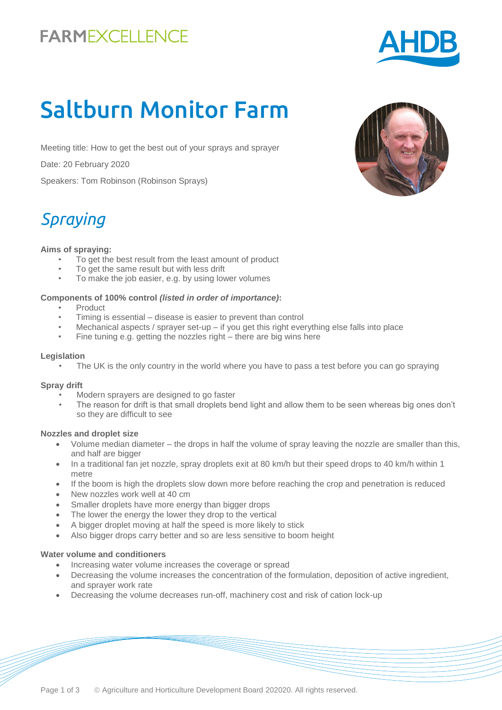# **FARMEXCELLENCE**

# Saltburn Monitor Farm

Meeting title: How to get the best out of your sprays and sprayer

Date: 20 February 2020

Speakers: Tom Robinson (Robinson Sprays)

# *Spraying*

### **Aims of spraying:**

- To get the best result from the least amount of product
- To get the same result but with less drift
- To make the job easier, e.g. by using lower volumes

### **Components of 100% control** *(listed in order of importance)***:**

- **Product**
- Timing is essential disease is easier to prevent than control
- Mechanical aspects / sprayer set-up if you get this right everything else falls into place
- Fine tuning e.g. getting the nozzles right there are big wins here

### **Legislation**

The UK is the only country in the world where you have to pass a test before you can go spraying

### **Spray drift**

- Modern sprayers are designed to go faster
	- The reason for drift is that small droplets bend light and allow them to be seen whereas big ones don't so they are difficult to see

### **Nozzles and droplet size**

- Volume median diameter the drops in half the volume of spray leaving the nozzle are smaller than this, and half are bigger
- In a traditional fan jet nozzle, spray droplets exit at 80 km/h but their speed drops to 40 km/h within 1 metre
- If the boom is high the droplets slow down more before reaching the crop and penetration is reduced
- New nozzles work well at 40 cm
- Smaller droplets have more energy than bigger drops
- The lower the energy the lower they drop to the vertical
- A bigger droplet moving at half the speed is more likely to stick
- Also bigger drops carry better and so are less sensitive to boom height

### **Water volume and conditioners**

- Increasing water volume increases the coverage or spread
- Decreasing the volume increases the concentration of the formulation, deposition of active ingredient, and sprayer work rate
- Decreasing the volume decreases run-off, machinery cost and risk of cation lock-up



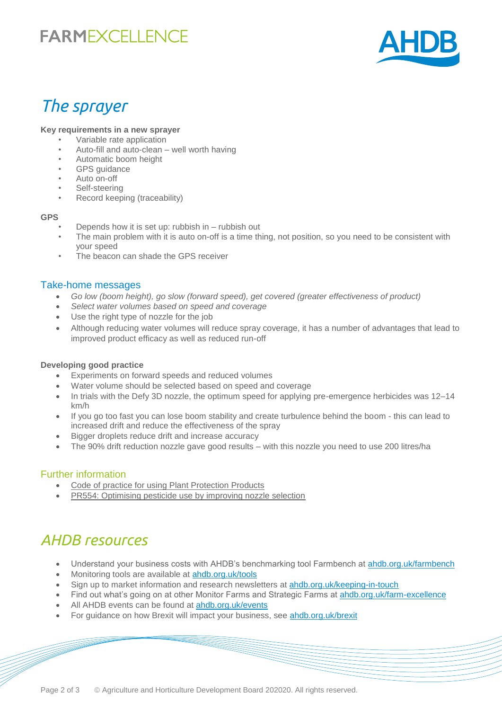## **FARMEXCELLENCE**



### *The sprayer*

#### **Key requirements in a new sprayer**

- Variable rate application
- Auto-fill and auto-clean well worth having
- Automatic boom height
- GPS guidance
- Auto on-off
- Self-steering
- Record keeping (traceability)

#### **GPS**

- Depends how it is set up: rubbish in rubbish out
- The main problem with it is auto on-off is a time thing, not position, so you need to be consistent with your speed
- The beacon can shade the GPS receiver

### Take-home messages

- *Go low (boom height), go slow (forward speed), get covered (greater effectiveness of product)*
- *Select water volumes based on speed and coverage*
- Use the right type of nozzle for the job
- Although reducing water volumes will reduce spray coverage, it has a number of advantages that lead to improved product efficacy as well as reduced run-off

### **Developing good practice**

- Experiments on forward speeds and reduced volumes
- Water volume should be selected based on speed and coverage
- In trials with the Defy 3D nozzle, the optimum speed for applying pre-emergence herbicides was 12–14 km/h
- If you go too fast you can lose boom stability and create turbulence behind the boom this can lead to increased drift and reduce the effectiveness of the spray
- Bigger droplets reduce drift and increase accuracy
- The 90% drift reduction nozzle gave good results with this nozzle you need to use 200 litres/ha

### Further information

- [Code of practice for using Plant Protection Products](http://www.hse.gov.uk/pesticides/topics/using-pesticides/codes-of-practice/code-of-practice-for-using-plant-protection-products.htm)
- [PR554: Optimising pesticide use by improving nozzle selection](https://cereals.ahdb.org.uk/publications/2016/february/04/optimising-pesticide-use-in-arable-agriculture-by-improving-nozzle-selection-based-on-product-efficacy-to-give-optimised-use-and-improved-spray-drift-control.aspx)

### *AHDB resources*

- Understand your business costs with AHDB's benchmarking tool Farmbench at [ahdb.org.uk/farmbench](https://ahdb.org.uk/farmbench)
- Monitoring tools are available at **ahdb.org.uk/tools**
- Sign up to market information and research newsletters at [ahdb.org.uk/keeping-in-touch](https://ahdb.org.uk/keeping-in-touch)
- Find out what's going on at other Monitor Farms and Strategic Farms at [ahdb.org.uk/farm-excellence](https://ahdb.org.uk/farm-excellence)
- All AHDB events can be found at [ahdb.org.uk/events](https://ahdb.org.uk/events)
- For guidance on how Brexit will impact your business, see [ahdb.org.uk/brexit](https://ahdb.org.uk/brexit)